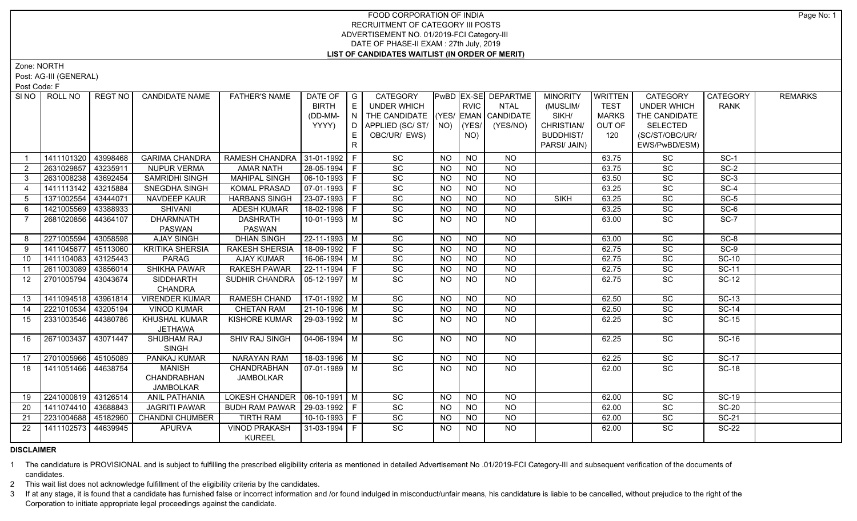Zone: NORTH

Post: AG-III (GENERAL)

Post Code: F

| SINO I         | ROLL NO             | REGT NO  | <b>CANDIDATE NAME</b>             | <b>FATHER'S NAME</b>            | DATE OF                | $\overline{\phantom{a}}$ $\overline{\phantom{a}}$ | CATEGORY                           |           |                | PwBD EX-SE DEPARTME | <b>MINORITY</b>  | <b>WRITTEN</b> | <b>CATEGORY</b>    | CATEGORY     | <b>REMARKS</b> |
|----------------|---------------------|----------|-----------------------------------|---------------------------------|------------------------|---------------------------------------------------|------------------------------------|-----------|----------------|---------------------|------------------|----------------|--------------------|--------------|----------------|
|                |                     |          |                                   |                                 | <b>BIRTH</b>           | E                                                 | <b>UNDER WHICH</b>                 |           | <b>RVIC</b>    | <b>NTAL</b>         | (MUSLIM/         | <b>TEST</b>    | <b>UNDER WHICH</b> | <b>RANK</b>  |                |
|                |                     |          |                                   |                                 | (DD-MM-                | $\overline{N}$                                    | THE CANDIDATE (YES/ EMAN CANDIDATE |           |                |                     | SIKH/            | <b>MARKS</b>   | THE CANDIDATE      |              |                |
|                |                     |          |                                   |                                 | YYYY)                  | I D I                                             | APPLIED (SC/ ST/   NO)             |           | $ $ (YES/ $ $  | (YES/NO)            | CHRISTIAN/       | OUT OF         | <b>SELECTED</b>    |              |                |
|                |                     |          |                                   |                                 |                        | E.                                                | OBC/UR/ EWS)                       |           | NO)            |                     | <b>BUDDHIST/</b> | 120            | (SC/ST/OBC/UR/     |              |                |
|                |                     |          |                                   |                                 |                        | $\mathsf{R}$                                      |                                    |           |                |                     | PARSI/ JAIN)     |                | EWS/PwBD/ESM)      |              |                |
|                | 1411101320          | 43998468 | <b>GARIMA CHANDRA</b>             | RAMESH CHANDRA 31-01-1992   F   |                        |                                                   | SC                                 | <b>NO</b> | <b>NO</b>      | <b>NO</b>           |                  | 63.75          | SC                 | $SC-1$       |                |
| 2              | 2631029857          | 43235911 | <b>NUPUR VERMA</b>                | <b>AMAR NATH</b>                | 28-05-1994 F           |                                                   | SC                                 | <b>NO</b> | <b>NO</b>      | $N$ O               |                  | 63.75          | SC                 | $SC-2$       |                |
| 3              | 2631008238          | 43692454 | SAMRIDHI SINGH                    | <b>MAHIPAL SINGH</b>            | $\boxed{06-10-1993}$ F |                                                   | $\overline{SC}$                    | <b>NO</b> | $N$ O          | $N$ O               |                  | 63.50          | $\overline{SC}$    | $SC-3$       |                |
| $\overline{4}$ | 1411113142          | 43215884 | SNEGDHA SINGH                     | <b>KOMAL PRASAD</b>             | $ 07-01-1993 F$        |                                                   | SC                                 | <b>NO</b> | $N$ O          | $N$ O               |                  | 63.25          | SC                 | $SC-4$       |                |
| 5              | 1371002554          | 43444071 | NAVDEEP KAUR                      | <b>HARBANS SINGH</b>            | $ 23-07-1993 F$        |                                                   | SC                                 | <b>NO</b> | N <sub>O</sub> | $N$ O               | <b>SIKH</b>      | 63.25          | SC                 | $SC-5$       |                |
| -6             | 1421005569          | 43388933 | SHIVANI                           | <b>ADESH KUMAR</b>              | 18-02-1998 F           |                                                   | SC                                 | <b>NO</b> | $N$ O          | $N$ O               |                  | 63.25          | SC                 | $SC-6$       |                |
| 7              | 2681020856          | 44364107 | <b>DHARMNATH</b><br><b>PASWAN</b> | <b>DASHRATH</b><br>PASWAN       | $10-01-1993$ M         |                                                   | $\overline{SC}$                    | NO.       | $N$ O          | $N$ <sup>O</sup>    |                  | 63.00          | SC                 | $SC-7$       |                |
| 8              | 2271005594          | 43058598 | <b>AJAY SINGH</b>                 | <b>DHIAN SINGH</b>              | 22-11-1993 M           |                                                   | SC                                 | <b>NO</b> | <b>NO</b>      | <b>NO</b>           |                  | 63.00          | SC                 | $SC-8$       |                |
| 9              | 1411045677          | 45113060 | <b>KRITIKA SHERSIA</b>            | <b>RAKESH SHERSIA</b>           | 18-09-1992 F           |                                                   | SC                                 | <b>NO</b> | <b>NO</b>      | <b>NO</b>           |                  | 62.75          | SC                 | $SC-9$       |                |
| 10             | 1411104083          | 43125443 | PARAG                             | <b>AJAY KUMAR</b>               | 16-06-1994 M           |                                                   | SC                                 | <b>NO</b> | <b>NO</b>      | <b>NO</b>           |                  | 62.75          | SC                 | <b>SC-10</b> |                |
| 11             | 2611003089          | 43856014 | <b>SHIKHA PAWAR</b>               | RAKESH PAWAR                    | 22-11-1994 F           |                                                   | SC                                 | <b>NO</b> | <b>NO</b>      | <b>NO</b>           |                  | 62.75          | SC                 | <b>SC-11</b> |                |
| 12             | 2701005794          | 43043674 | <b>SIDDHARTH</b>                  | SUDHIR CHANDRA                  | $ 05-12-1997 M$        |                                                   | SC                                 | <b>NO</b> | NO             | <b>NO</b>           |                  | 62.75          | SC                 | <b>SC-12</b> |                |
|                |                     |          | <b>CHANDRA</b>                    |                                 |                        |                                                   |                                    |           |                |                     |                  |                |                    |              |                |
| 13             | 1411094518 43961814 |          | <b>VIRENDER KUMAR</b>             | <b>RAMESH CHAND</b>             | $17-01-1992$ M         |                                                   | SC                                 | <b>NO</b> | <b>NO</b>      | <b>NO</b>           |                  | 62.50          | SC                 | $SC-13$      |                |
| 14             | 2221010534          | 43205194 | <b>VINOD KUMAR</b>                | <b>CHETAN RAM</b>               | 21-10-1996   M         |                                                   | SC                                 | <b>NO</b> | <b>NO</b>      | $\overline{NO}$     |                  | 62.50          | SC                 | $SC-14$      |                |
| 15             | 2331003546          | 44380786 | <b>KHUSHAL KUMAR</b><br>JETHAWA   | <b>KISHORE KUMAR</b>            | 29-03-1992   M         |                                                   | $\overline{SC}$                    | NO.       | NO             | NO                  |                  | 62.25          | SC                 | <b>SC-15</b> |                |
| 16             | 2671003437          | 43071447 | SHUBHAM RAJ                       | SHIV RAJ SINGH                  | 04-06-1994   M         |                                                   | $\overline{SC}$                    | NO.       | NO.            | NO                  |                  | 62.25          | <b>SC</b>          | SC-16        |                |
|                |                     |          | <b>SINGH</b>                      |                                 |                        |                                                   |                                    |           |                |                     |                  |                |                    |              |                |
| 17             | 2701005966          | 45105089 | <b>PANKAJ KUMAR</b>               | <b>NARAYAN RAM</b>              | 18-03-1996 M           |                                                   | SC                                 | $N$ O     | N <sub>O</sub> | $N$ <sup>O</sup>    |                  | 62.25          | $\overline{SC}$    | <b>SC-17</b> |                |
| 18             | 1411051466 44638754 |          | <b>MANISH</b>                     | <b>CHANDRABHAN</b>              | 07-01-1989 M           |                                                   | $\overline{SC}$                    | NO.       | N <sub>O</sub> | $N$ <sup>O</sup>    |                  | 62.00          | $\overline{SC}$    | $SC-18$      |                |
|                |                     |          | CHANDRABHAN                       | <b>JAMBOLKAR</b>                |                        |                                                   |                                    |           |                |                     |                  |                |                    |              |                |
|                |                     |          | <b>JAMBOLKAR</b>                  |                                 |                        |                                                   |                                    |           |                |                     |                  |                |                    |              |                |
| 19             | 2241000819 43126514 |          | <b>ANIL PATHANIA</b>              | LOKESH CHANDER   06-10-1991   M |                        |                                                   | $\overline{SC}$                    | <b>NO</b> | <b>NO</b>      | <b>NO</b>           |                  | 62.00          | $\overline{SC}$    | $SC-19$      |                |
| 20             | 1411074410 43688843 |          | <b>JAGRITI PAWAR</b>              | BUDH RAM PAWAR   29-03-1992   F |                        |                                                   | SC                                 | <b>NO</b> | <b>NO</b>      | <b>NO</b>           |                  | 62.00          | SC                 | <b>SC-20</b> |                |
| 21             | 2231004688          | 45182960 | <b>CHANDNI CHUMBER</b>            | <b>TIRTH RAM</b>                | 10-10-1993 F           |                                                   | $\overline{SC}$                    | <b>NO</b> | <b>NO</b>      | <b>NO</b>           |                  | 62.00          | SC                 | $SC-21$      |                |
| 22             | 1411102573          | 44639945 | <b>APURVA</b>                     | <b>VINOD PRAKASH</b>            | 131-03-1994 F          |                                                   | $\overline{SC}$                    | NO.       | NO.            | NO                  |                  | 62.00          | SC                 | $SC-22$      |                |
|                |                     |          |                                   | <b>KUREEL</b>                   |                        |                                                   |                                    |           |                |                     |                  |                |                    |              |                |

### **DISCLAIMER**

1 The candidature is PROVISIONAL and is subject to fulfilling the prescribed eligibility criteria as mentioned in detailed Advertisement No .01/2019-FCI Category-III and subsequent verification of the documents of candidates.

2 This wait list does not acknowledge fulfillment of the eligibility criteria by the candidates.

3 If at any stage, it is found that a candidate has furnished false or incorrect information and /or found indulged in misconduct/unfair means, his candidature is liable to be cancelled, without prejudice to the right of t Corporation to initiate appropriate legal proceedings against the candidate.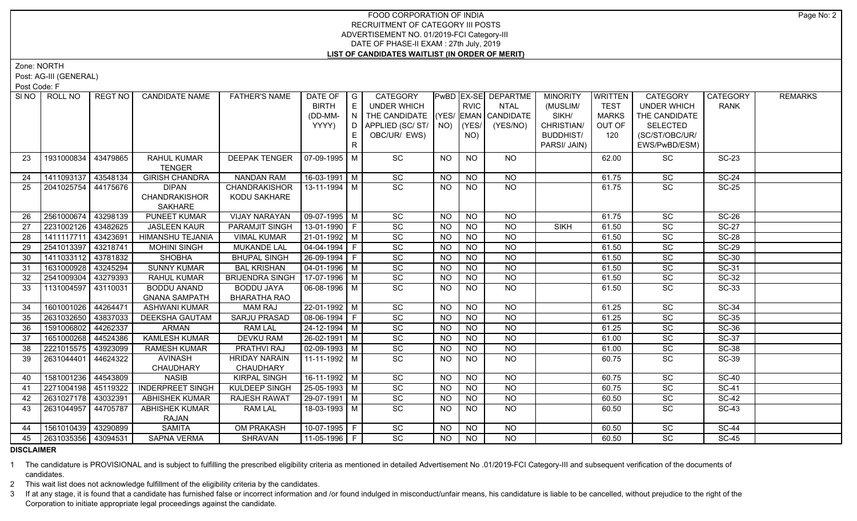Zone: NORTH

Post: AG-III (GENERAL)

Post Code: F

| E<br><b>RVIC</b><br><b>BIRTH</b><br><b>UNDER WHICH</b><br><b>NTAL</b><br>(MUSLIM/<br><b>TEST</b><br><b>UNDER WHICH</b><br><b>RANK</b><br>THE CANDIDATE (YES/ EMAN CANDIDATE<br>SIKH/<br>(DD-MM-<br>$\overline{\phantom{a}}$<br><b>MARKS</b><br>THE CANDIDATE<br>YYYY)<br>APPLIED (SC/ ST/   NO)<br>CHRISTIAN/<br>(YES/<br>(YES/NO)<br>OUT OF<br><b>SELECTED</b><br>D.<br>OBC/UR/ EWS)<br><b>BUDDHIST/</b><br>120<br>(SC/ST/OBC/UR/<br>E<br>NO)<br>R<br>PARSI/ JAIN)<br>EWS/PwBD/ESM)<br>07-09-1995 M<br>SC<br><b>NO</b><br>NO<br><b>SC-23</b><br>1931000834<br>43479865<br><b>RAHUL KUMAR</b><br><b>DEEPAK TENGER</b><br>NO<br>SC<br>23<br>62.00<br><b>TENGER</b><br>1411093137<br>43548134<br><b>GIRISH CHANDRA</b><br><b>NANDAN RAM</b><br>16-03-1991   M<br>SC<br>SC<br><b>SC-24</b><br><b>NO</b><br><b>NO</b><br>61.75<br><b>NO</b><br>24<br>$\overline{SC}$<br>SC<br>25<br>44175676<br><b>DIPAN</b><br>13-11-1994 M<br><b>NO</b><br><b>NO</b><br>NO<br><b>SC-25</b><br>2041025754<br><b>CHANDRAKISHOR</b><br>61.75<br><b>CHANDRAKISHOR</b><br>KODU SAKHARE<br><b>SAKHARE</b><br><b>VIJAY NARAYAN</b><br>09-07-1995 M<br>2561000674<br>43298139<br>PUNEET KUMAR<br>SC<br><b>NO</b><br><b>SC-26</b><br><b>NO</b><br>NO.<br>61.75<br>SC<br>26<br>$13-01-1990$ F<br>SC<br>2231002126<br>43482625<br><b>JASLEEN KAUR</b><br>PARAMJIT SINGH<br><b>NO</b><br><b>NO</b><br><b>SIKH</b><br>SC<br><b>SC-27</b><br>27<br><b>NO</b><br>61.50<br>43423691<br>HIMANSHU TEJANIA<br>21-01-1992 M<br>SC<br>$N$ O<br>SC<br><b>SC-28</b><br>1411117711<br><b>VIMAL KUMAR</b><br><b>NO</b><br>61.50<br>28<br>NO.<br>$\overline{SC}$<br>SC<br>$SC-29$<br>43218741<br>$\boxed{04-04-1994}$ F<br>$N$ O<br>$N$ O<br>29<br>2541013397<br><b>MOHINI SINGH</b><br>MUKANDE LAL<br><b>NO</b><br>61.50<br>$26 - 09 - 1994$ F<br>SC<br>SC<br>$N$ O<br>$N$ <sup>O</sup><br><b>SC-30</b><br>1411033112<br>43781832<br><b>SHOBHA</b><br><b>BHUPAL SINGH</b><br><b>NO</b><br>61.50<br>30<br>SC<br>1631000928<br>$04 - 01 - 1996$ M<br>SC<br><b>SC-31</b><br>43245294<br><b>SUNNY KUMAR</b><br><b>BAL KRISHAN</b><br>NO<br>$N$ O<br>31<br><b>NO</b><br>61.50<br>17-07-1996 M<br>SC<br><b>SC-32</b><br>2541009304<br>43279393<br><b>BRIJENDRA SINGH</b><br><b>NO</b><br><b>NO</b><br><b>NO</b><br>SC<br>32<br>RAHUL KUMAR<br>61.50<br>SC<br>$N$ <sup>O</sup><br><b>SC-33</b><br>1131004597<br><b>BODDU ANAND</b><br><b>BODDU JAYA</b><br>06-08-1996 M<br><b>NO</b><br><b>NO</b><br><b>SC</b><br>33<br>43110031<br>61.50<br><b>GNANA SAMPATH</b><br><b>BHARATHA RAO</b><br>$22 - 01 - 1992$ M<br>1601001026<br>44264471<br>SC<br>N <sub>O</sub><br>61.25<br>$\overline{SC}$<br>$SC-34$<br><b>ASHWANI KUMAR</b><br><b>MAM RAJ</b><br><b>NO</b><br><b>NO</b><br>34<br>SC<br>SC<br><b>SC-35</b><br>2631032650<br>43837033<br>SARJU PRASAD<br>08-06-1994 F<br><b>NO</b><br><b>NO</b><br>DEEKSHA GAUTAM<br><b>NO</b><br>61.25<br>35<br>SC<br><b>NO</b><br>SC<br><b>SC-36</b><br>1591006802<br>44262337<br><b>ARMAN</b><br><b>RAM LAL</b><br>24-12-1994 M<br><b>NO</b><br>61.25<br>36<br><b>NO</b><br>1651000268<br>26-02-1991 M<br>SC<br>SC<br><b>SC-37</b><br>37<br>44524386<br><b>KAMLESH KUMAR</b><br><b>DEVKU RAM</b><br><b>NO</b><br><b>NO</b><br><b>NO</b><br>61.00<br>43923099<br><b>PRATHVI RAJ</b><br>$02-09-1993$ M<br>SC<br><b>NO</b><br><b>SC-38</b><br>38<br>2221015575<br><b>RAMESH KUMAR</b><br><b>NO</b><br><b>NO</b><br>SC<br>61.00<br><b>HRIDAY NARAIN</b><br>SC<br><b>NO</b><br>SC<br><b>SC-39</b><br>2631044401<br>44624322<br>AVINASH<br>  11-11-1992   M<br>39<br>NO.<br>NO.<br>60.75<br>CHAUDHARY<br>CHAUDHARY<br>1581001236<br>44543809<br><b>NASIB</b><br><b>KIRPAL SINGH</b><br>$16-11-1992$ M<br>$\overline{SC}$<br>$\overline{SC}$<br><b>NO</b><br><b>NO</b><br>NO<br>60.75<br><b>SC-40</b><br>40<br>SC<br>$\overline{SC}$<br>$SC-41$<br>2271004198<br>45119322<br><b>INDERPREET SINGH</b><br>KULDEEP SINGH<br>25-05-1993 M<br><b>NO</b><br><b>NO</b><br><b>NO</b><br>60.75<br>41<br>SC<br>$SC-42$<br>43032391<br>29-07-1991 M<br>$\overline{NO}$<br>$\overline{NO}$<br>$\overline{SC}$<br>2631027178<br><b>ABHISHEK KUMAR</b><br><b>RAJESH RAWAT</b><br><b>NO</b><br>60.50<br>42<br>$\overline{SC}$<br>2631044957<br>44705787<br><b>ABHISHEK KUMAR</b><br><b>RAM LAL</b><br>18-03-1993 M<br>NO<br>NO<br><b>SC</b><br><b>SC-43</b><br>43<br>NO.<br>60.50<br><b>RAJAN</b><br>1561010439<br>43290899<br><b>SAMITA</b><br>OM PRAKASH<br>10-07-1995 F<br>SC<br><b>SC-44</b><br><b>NO</b><br><b>NO</b><br>NO.<br>SC<br>44<br>60.50<br>$\overline{SC}$<br>2631035356 43094531<br>$11-05-1996$   F<br>$\overline{NO}$<br>$\overline{SC}$<br>$SC-45$<br><b>SAPNA VERMA</b><br>SHRAVAN<br><b>NO</b><br><b>NO</b><br>45<br>60.50 | SI NO | ROLL NO | REGT NO | <b>CANDIDATE NAME</b> | <b>FATHER'S NAME</b> | DATE OF | $\overline{\phantom{a}}$ G | CATEGORY |  | PwBD EX-SE DEPARTME | <b>MINORITY</b> | WRITTEN | <b>CATEGORY</b> | <b>CATEGORY</b> | <b>REMARKS</b> |
|--------------------------------------------------------------------------------------------------------------------------------------------------------------------------------------------------------------------------------------------------------------------------------------------------------------------------------------------------------------------------------------------------------------------------------------------------------------------------------------------------------------------------------------------------------------------------------------------------------------------------------------------------------------------------------------------------------------------------------------------------------------------------------------------------------------------------------------------------------------------------------------------------------------------------------------------------------------------------------------------------------------------------------------------------------------------------------------------------------------------------------------------------------------------------------------------------------------------------------------------------------------------------------------------------------------------------------------------------------------------------------------------------------------------------------------------------------------------------------------------------------------------------------------------------------------------------------------------------------------------------------------------------------------------------------------------------------------------------------------------------------------------------------------------------------------------------------------------------------------------------------------------------------------------------------------------------------------------------------------------------------------------------------------------------------------------------------------------------------------------------------------------------------------------------------------------------------------------------------------------------------------------------------------------------------------------------------------------------------------------------------------------------------------------------------------------------------------------------------------------------------------------------------------------------------------------------------------------------------------------------------------------------------------------------------------------------------------------------------------------------------------------------------------------------------------------------------------------------------------------------------------------------------------------------------------------------------------------------------------------------------------------------------------------------------------------------------------------------------------------------------------------------------------------------------------------------------------------------------------------------------------------------------------------------------------------------------------------------------------------------------------------------------------------------------------------------------------------------------------------------------------------------------------------------------------------------------------------------------------------------------------------------------------------------------------------------------------------------------------------------------------------------------------------------------------------------------------------------------------------------------------------------------------------------------------------------------------------------------------------------------------------------------------------------------------------------------------------------------------------------------------------------------------------------------------------------------------------------------------------------------------------------------------------------------------------------------------------------------------------------------------------------------------------------------------------------------------------------------------------------------------------------------------------------------------------------------------------------------------------------------------------------------------------------------------------------------------|-------|---------|---------|-----------------------|----------------------|---------|----------------------------|----------|--|---------------------|-----------------|---------|-----------------|-----------------|----------------|
|                                                                                                                                                                                                                                                                                                                                                                                                                                                                                                                                                                                                                                                                                                                                                                                                                                                                                                                                                                                                                                                                                                                                                                                                                                                                                                                                                                                                                                                                                                                                                                                                                                                                                                                                                                                                                                                                                                                                                                                                                                                                                                                                                                                                                                                                                                                                                                                                                                                                                                                                                                                                                                                                                                                                                                                                                                                                                                                                                                                                                                                                                                                                                                                                                                                                                                                                                                                                                                                                                                                                                                                                                                                                                                                                                                                                                                                                                                                                                                                                                                                                                                                                                                                                                                                                                                                                                                                                                                                                                                                                                                                                                                                                                                              |       |         |         |                       |                      |         |                            |          |  |                     |                 |         |                 |                 |                |
|                                                                                                                                                                                                                                                                                                                                                                                                                                                                                                                                                                                                                                                                                                                                                                                                                                                                                                                                                                                                                                                                                                                                                                                                                                                                                                                                                                                                                                                                                                                                                                                                                                                                                                                                                                                                                                                                                                                                                                                                                                                                                                                                                                                                                                                                                                                                                                                                                                                                                                                                                                                                                                                                                                                                                                                                                                                                                                                                                                                                                                                                                                                                                                                                                                                                                                                                                                                                                                                                                                                                                                                                                                                                                                                                                                                                                                                                                                                                                                                                                                                                                                                                                                                                                                                                                                                                                                                                                                                                                                                                                                                                                                                                                                              |       |         |         |                       |                      |         |                            |          |  |                     |                 |         |                 |                 |                |
|                                                                                                                                                                                                                                                                                                                                                                                                                                                                                                                                                                                                                                                                                                                                                                                                                                                                                                                                                                                                                                                                                                                                                                                                                                                                                                                                                                                                                                                                                                                                                                                                                                                                                                                                                                                                                                                                                                                                                                                                                                                                                                                                                                                                                                                                                                                                                                                                                                                                                                                                                                                                                                                                                                                                                                                                                                                                                                                                                                                                                                                                                                                                                                                                                                                                                                                                                                                                                                                                                                                                                                                                                                                                                                                                                                                                                                                                                                                                                                                                                                                                                                                                                                                                                                                                                                                                                                                                                                                                                                                                                                                                                                                                                                              |       |         |         |                       |                      |         |                            |          |  |                     |                 |         |                 |                 |                |
|                                                                                                                                                                                                                                                                                                                                                                                                                                                                                                                                                                                                                                                                                                                                                                                                                                                                                                                                                                                                                                                                                                                                                                                                                                                                                                                                                                                                                                                                                                                                                                                                                                                                                                                                                                                                                                                                                                                                                                                                                                                                                                                                                                                                                                                                                                                                                                                                                                                                                                                                                                                                                                                                                                                                                                                                                                                                                                                                                                                                                                                                                                                                                                                                                                                                                                                                                                                                                                                                                                                                                                                                                                                                                                                                                                                                                                                                                                                                                                                                                                                                                                                                                                                                                                                                                                                                                                                                                                                                                                                                                                                                                                                                                                              |       |         |         |                       |                      |         |                            |          |  |                     |                 |         |                 |                 |                |
|                                                                                                                                                                                                                                                                                                                                                                                                                                                                                                                                                                                                                                                                                                                                                                                                                                                                                                                                                                                                                                                                                                                                                                                                                                                                                                                                                                                                                                                                                                                                                                                                                                                                                                                                                                                                                                                                                                                                                                                                                                                                                                                                                                                                                                                                                                                                                                                                                                                                                                                                                                                                                                                                                                                                                                                                                                                                                                                                                                                                                                                                                                                                                                                                                                                                                                                                                                                                                                                                                                                                                                                                                                                                                                                                                                                                                                                                                                                                                                                                                                                                                                                                                                                                                                                                                                                                                                                                                                                                                                                                                                                                                                                                                                              |       |         |         |                       |                      |         |                            |          |  |                     |                 |         |                 |                 |                |
|                                                                                                                                                                                                                                                                                                                                                                                                                                                                                                                                                                                                                                                                                                                                                                                                                                                                                                                                                                                                                                                                                                                                                                                                                                                                                                                                                                                                                                                                                                                                                                                                                                                                                                                                                                                                                                                                                                                                                                                                                                                                                                                                                                                                                                                                                                                                                                                                                                                                                                                                                                                                                                                                                                                                                                                                                                                                                                                                                                                                                                                                                                                                                                                                                                                                                                                                                                                                                                                                                                                                                                                                                                                                                                                                                                                                                                                                                                                                                                                                                                                                                                                                                                                                                                                                                                                                                                                                                                                                                                                                                                                                                                                                                                              |       |         |         |                       |                      |         |                            |          |  |                     |                 |         |                 |                 |                |
|                                                                                                                                                                                                                                                                                                                                                                                                                                                                                                                                                                                                                                                                                                                                                                                                                                                                                                                                                                                                                                                                                                                                                                                                                                                                                                                                                                                                                                                                                                                                                                                                                                                                                                                                                                                                                                                                                                                                                                                                                                                                                                                                                                                                                                                                                                                                                                                                                                                                                                                                                                                                                                                                                                                                                                                                                                                                                                                                                                                                                                                                                                                                                                                                                                                                                                                                                                                                                                                                                                                                                                                                                                                                                                                                                                                                                                                                                                                                                                                                                                                                                                                                                                                                                                                                                                                                                                                                                                                                                                                                                                                                                                                                                                              |       |         |         |                       |                      |         |                            |          |  |                     |                 |         |                 |                 |                |
|                                                                                                                                                                                                                                                                                                                                                                                                                                                                                                                                                                                                                                                                                                                                                                                                                                                                                                                                                                                                                                                                                                                                                                                                                                                                                                                                                                                                                                                                                                                                                                                                                                                                                                                                                                                                                                                                                                                                                                                                                                                                                                                                                                                                                                                                                                                                                                                                                                                                                                                                                                                                                                                                                                                                                                                                                                                                                                                                                                                                                                                                                                                                                                                                                                                                                                                                                                                                                                                                                                                                                                                                                                                                                                                                                                                                                                                                                                                                                                                                                                                                                                                                                                                                                                                                                                                                                                                                                                                                                                                                                                                                                                                                                                              |       |         |         |                       |                      |         |                            |          |  |                     |                 |         |                 |                 |                |
|                                                                                                                                                                                                                                                                                                                                                                                                                                                                                                                                                                                                                                                                                                                                                                                                                                                                                                                                                                                                                                                                                                                                                                                                                                                                                                                                                                                                                                                                                                                                                                                                                                                                                                                                                                                                                                                                                                                                                                                                                                                                                                                                                                                                                                                                                                                                                                                                                                                                                                                                                                                                                                                                                                                                                                                                                                                                                                                                                                                                                                                                                                                                                                                                                                                                                                                                                                                                                                                                                                                                                                                                                                                                                                                                                                                                                                                                                                                                                                                                                                                                                                                                                                                                                                                                                                                                                                                                                                                                                                                                                                                                                                                                                                              |       |         |         |                       |                      |         |                            |          |  |                     |                 |         |                 |                 |                |
|                                                                                                                                                                                                                                                                                                                                                                                                                                                                                                                                                                                                                                                                                                                                                                                                                                                                                                                                                                                                                                                                                                                                                                                                                                                                                                                                                                                                                                                                                                                                                                                                                                                                                                                                                                                                                                                                                                                                                                                                                                                                                                                                                                                                                                                                                                                                                                                                                                                                                                                                                                                                                                                                                                                                                                                                                                                                                                                                                                                                                                                                                                                                                                                                                                                                                                                                                                                                                                                                                                                                                                                                                                                                                                                                                                                                                                                                                                                                                                                                                                                                                                                                                                                                                                                                                                                                                                                                                                                                                                                                                                                                                                                                                                              |       |         |         |                       |                      |         |                            |          |  |                     |                 |         |                 |                 |                |
|                                                                                                                                                                                                                                                                                                                                                                                                                                                                                                                                                                                                                                                                                                                                                                                                                                                                                                                                                                                                                                                                                                                                                                                                                                                                                                                                                                                                                                                                                                                                                                                                                                                                                                                                                                                                                                                                                                                                                                                                                                                                                                                                                                                                                                                                                                                                                                                                                                                                                                                                                                                                                                                                                                                                                                                                                                                                                                                                                                                                                                                                                                                                                                                                                                                                                                                                                                                                                                                                                                                                                                                                                                                                                                                                                                                                                                                                                                                                                                                                                                                                                                                                                                                                                                                                                                                                                                                                                                                                                                                                                                                                                                                                                                              |       |         |         |                       |                      |         |                            |          |  |                     |                 |         |                 |                 |                |
|                                                                                                                                                                                                                                                                                                                                                                                                                                                                                                                                                                                                                                                                                                                                                                                                                                                                                                                                                                                                                                                                                                                                                                                                                                                                                                                                                                                                                                                                                                                                                                                                                                                                                                                                                                                                                                                                                                                                                                                                                                                                                                                                                                                                                                                                                                                                                                                                                                                                                                                                                                                                                                                                                                                                                                                                                                                                                                                                                                                                                                                                                                                                                                                                                                                                                                                                                                                                                                                                                                                                                                                                                                                                                                                                                                                                                                                                                                                                                                                                                                                                                                                                                                                                                                                                                                                                                                                                                                                                                                                                                                                                                                                                                                              |       |         |         |                       |                      |         |                            |          |  |                     |                 |         |                 |                 |                |
|                                                                                                                                                                                                                                                                                                                                                                                                                                                                                                                                                                                                                                                                                                                                                                                                                                                                                                                                                                                                                                                                                                                                                                                                                                                                                                                                                                                                                                                                                                                                                                                                                                                                                                                                                                                                                                                                                                                                                                                                                                                                                                                                                                                                                                                                                                                                                                                                                                                                                                                                                                                                                                                                                                                                                                                                                                                                                                                                                                                                                                                                                                                                                                                                                                                                                                                                                                                                                                                                                                                                                                                                                                                                                                                                                                                                                                                                                                                                                                                                                                                                                                                                                                                                                                                                                                                                                                                                                                                                                                                                                                                                                                                                                                              |       |         |         |                       |                      |         |                            |          |  |                     |                 |         |                 |                 |                |
|                                                                                                                                                                                                                                                                                                                                                                                                                                                                                                                                                                                                                                                                                                                                                                                                                                                                                                                                                                                                                                                                                                                                                                                                                                                                                                                                                                                                                                                                                                                                                                                                                                                                                                                                                                                                                                                                                                                                                                                                                                                                                                                                                                                                                                                                                                                                                                                                                                                                                                                                                                                                                                                                                                                                                                                                                                                                                                                                                                                                                                                                                                                                                                                                                                                                                                                                                                                                                                                                                                                                                                                                                                                                                                                                                                                                                                                                                                                                                                                                                                                                                                                                                                                                                                                                                                                                                                                                                                                                                                                                                                                                                                                                                                              |       |         |         |                       |                      |         |                            |          |  |                     |                 |         |                 |                 |                |
|                                                                                                                                                                                                                                                                                                                                                                                                                                                                                                                                                                                                                                                                                                                                                                                                                                                                                                                                                                                                                                                                                                                                                                                                                                                                                                                                                                                                                                                                                                                                                                                                                                                                                                                                                                                                                                                                                                                                                                                                                                                                                                                                                                                                                                                                                                                                                                                                                                                                                                                                                                                                                                                                                                                                                                                                                                                                                                                                                                                                                                                                                                                                                                                                                                                                                                                                                                                                                                                                                                                                                                                                                                                                                                                                                                                                                                                                                                                                                                                                                                                                                                                                                                                                                                                                                                                                                                                                                                                                                                                                                                                                                                                                                                              |       |         |         |                       |                      |         |                            |          |  |                     |                 |         |                 |                 |                |
|                                                                                                                                                                                                                                                                                                                                                                                                                                                                                                                                                                                                                                                                                                                                                                                                                                                                                                                                                                                                                                                                                                                                                                                                                                                                                                                                                                                                                                                                                                                                                                                                                                                                                                                                                                                                                                                                                                                                                                                                                                                                                                                                                                                                                                                                                                                                                                                                                                                                                                                                                                                                                                                                                                                                                                                                                                                                                                                                                                                                                                                                                                                                                                                                                                                                                                                                                                                                                                                                                                                                                                                                                                                                                                                                                                                                                                                                                                                                                                                                                                                                                                                                                                                                                                                                                                                                                                                                                                                                                                                                                                                                                                                                                                              |       |         |         |                       |                      |         |                            |          |  |                     |                 |         |                 |                 |                |
|                                                                                                                                                                                                                                                                                                                                                                                                                                                                                                                                                                                                                                                                                                                                                                                                                                                                                                                                                                                                                                                                                                                                                                                                                                                                                                                                                                                                                                                                                                                                                                                                                                                                                                                                                                                                                                                                                                                                                                                                                                                                                                                                                                                                                                                                                                                                                                                                                                                                                                                                                                                                                                                                                                                                                                                                                                                                                                                                                                                                                                                                                                                                                                                                                                                                                                                                                                                                                                                                                                                                                                                                                                                                                                                                                                                                                                                                                                                                                                                                                                                                                                                                                                                                                                                                                                                                                                                                                                                                                                                                                                                                                                                                                                              |       |         |         |                       |                      |         |                            |          |  |                     |                 |         |                 |                 |                |
|                                                                                                                                                                                                                                                                                                                                                                                                                                                                                                                                                                                                                                                                                                                                                                                                                                                                                                                                                                                                                                                                                                                                                                                                                                                                                                                                                                                                                                                                                                                                                                                                                                                                                                                                                                                                                                                                                                                                                                                                                                                                                                                                                                                                                                                                                                                                                                                                                                                                                                                                                                                                                                                                                                                                                                                                                                                                                                                                                                                                                                                                                                                                                                                                                                                                                                                                                                                                                                                                                                                                                                                                                                                                                                                                                                                                                                                                                                                                                                                                                                                                                                                                                                                                                                                                                                                                                                                                                                                                                                                                                                                                                                                                                                              |       |         |         |                       |                      |         |                            |          |  |                     |                 |         |                 |                 |                |
|                                                                                                                                                                                                                                                                                                                                                                                                                                                                                                                                                                                                                                                                                                                                                                                                                                                                                                                                                                                                                                                                                                                                                                                                                                                                                                                                                                                                                                                                                                                                                                                                                                                                                                                                                                                                                                                                                                                                                                                                                                                                                                                                                                                                                                                                                                                                                                                                                                                                                                                                                                                                                                                                                                                                                                                                                                                                                                                                                                                                                                                                                                                                                                                                                                                                                                                                                                                                                                                                                                                                                                                                                                                                                                                                                                                                                                                                                                                                                                                                                                                                                                                                                                                                                                                                                                                                                                                                                                                                                                                                                                                                                                                                                                              |       |         |         |                       |                      |         |                            |          |  |                     |                 |         |                 |                 |                |
|                                                                                                                                                                                                                                                                                                                                                                                                                                                                                                                                                                                                                                                                                                                                                                                                                                                                                                                                                                                                                                                                                                                                                                                                                                                                                                                                                                                                                                                                                                                                                                                                                                                                                                                                                                                                                                                                                                                                                                                                                                                                                                                                                                                                                                                                                                                                                                                                                                                                                                                                                                                                                                                                                                                                                                                                                                                                                                                                                                                                                                                                                                                                                                                                                                                                                                                                                                                                                                                                                                                                                                                                                                                                                                                                                                                                                                                                                                                                                                                                                                                                                                                                                                                                                                                                                                                                                                                                                                                                                                                                                                                                                                                                                                              |       |         |         |                       |                      |         |                            |          |  |                     |                 |         |                 |                 |                |
|                                                                                                                                                                                                                                                                                                                                                                                                                                                                                                                                                                                                                                                                                                                                                                                                                                                                                                                                                                                                                                                                                                                                                                                                                                                                                                                                                                                                                                                                                                                                                                                                                                                                                                                                                                                                                                                                                                                                                                                                                                                                                                                                                                                                                                                                                                                                                                                                                                                                                                                                                                                                                                                                                                                                                                                                                                                                                                                                                                                                                                                                                                                                                                                                                                                                                                                                                                                                                                                                                                                                                                                                                                                                                                                                                                                                                                                                                                                                                                                                                                                                                                                                                                                                                                                                                                                                                                                                                                                                                                                                                                                                                                                                                                              |       |         |         |                       |                      |         |                            |          |  |                     |                 |         |                 |                 |                |
|                                                                                                                                                                                                                                                                                                                                                                                                                                                                                                                                                                                                                                                                                                                                                                                                                                                                                                                                                                                                                                                                                                                                                                                                                                                                                                                                                                                                                                                                                                                                                                                                                                                                                                                                                                                                                                                                                                                                                                                                                                                                                                                                                                                                                                                                                                                                                                                                                                                                                                                                                                                                                                                                                                                                                                                                                                                                                                                                                                                                                                                                                                                                                                                                                                                                                                                                                                                                                                                                                                                                                                                                                                                                                                                                                                                                                                                                                                                                                                                                                                                                                                                                                                                                                                                                                                                                                                                                                                                                                                                                                                                                                                                                                                              |       |         |         |                       |                      |         |                            |          |  |                     |                 |         |                 |                 |                |
|                                                                                                                                                                                                                                                                                                                                                                                                                                                                                                                                                                                                                                                                                                                                                                                                                                                                                                                                                                                                                                                                                                                                                                                                                                                                                                                                                                                                                                                                                                                                                                                                                                                                                                                                                                                                                                                                                                                                                                                                                                                                                                                                                                                                                                                                                                                                                                                                                                                                                                                                                                                                                                                                                                                                                                                                                                                                                                                                                                                                                                                                                                                                                                                                                                                                                                                                                                                                                                                                                                                                                                                                                                                                                                                                                                                                                                                                                                                                                                                                                                                                                                                                                                                                                                                                                                                                                                                                                                                                                                                                                                                                                                                                                                              |       |         |         |                       |                      |         |                            |          |  |                     |                 |         |                 |                 |                |
|                                                                                                                                                                                                                                                                                                                                                                                                                                                                                                                                                                                                                                                                                                                                                                                                                                                                                                                                                                                                                                                                                                                                                                                                                                                                                                                                                                                                                                                                                                                                                                                                                                                                                                                                                                                                                                                                                                                                                                                                                                                                                                                                                                                                                                                                                                                                                                                                                                                                                                                                                                                                                                                                                                                                                                                                                                                                                                                                                                                                                                                                                                                                                                                                                                                                                                                                                                                                                                                                                                                                                                                                                                                                                                                                                                                                                                                                                                                                                                                                                                                                                                                                                                                                                                                                                                                                                                                                                                                                                                                                                                                                                                                                                                              |       |         |         |                       |                      |         |                            |          |  |                     |                 |         |                 |                 |                |
|                                                                                                                                                                                                                                                                                                                                                                                                                                                                                                                                                                                                                                                                                                                                                                                                                                                                                                                                                                                                                                                                                                                                                                                                                                                                                                                                                                                                                                                                                                                                                                                                                                                                                                                                                                                                                                                                                                                                                                                                                                                                                                                                                                                                                                                                                                                                                                                                                                                                                                                                                                                                                                                                                                                                                                                                                                                                                                                                                                                                                                                                                                                                                                                                                                                                                                                                                                                                                                                                                                                                                                                                                                                                                                                                                                                                                                                                                                                                                                                                                                                                                                                                                                                                                                                                                                                                                                                                                                                                                                                                                                                                                                                                                                              |       |         |         |                       |                      |         |                            |          |  |                     |                 |         |                 |                 |                |
|                                                                                                                                                                                                                                                                                                                                                                                                                                                                                                                                                                                                                                                                                                                                                                                                                                                                                                                                                                                                                                                                                                                                                                                                                                                                                                                                                                                                                                                                                                                                                                                                                                                                                                                                                                                                                                                                                                                                                                                                                                                                                                                                                                                                                                                                                                                                                                                                                                                                                                                                                                                                                                                                                                                                                                                                                                                                                                                                                                                                                                                                                                                                                                                                                                                                                                                                                                                                                                                                                                                                                                                                                                                                                                                                                                                                                                                                                                                                                                                                                                                                                                                                                                                                                                                                                                                                                                                                                                                                                                                                                                                                                                                                                                              |       |         |         |                       |                      |         |                            |          |  |                     |                 |         |                 |                 |                |
|                                                                                                                                                                                                                                                                                                                                                                                                                                                                                                                                                                                                                                                                                                                                                                                                                                                                                                                                                                                                                                                                                                                                                                                                                                                                                                                                                                                                                                                                                                                                                                                                                                                                                                                                                                                                                                                                                                                                                                                                                                                                                                                                                                                                                                                                                                                                                                                                                                                                                                                                                                                                                                                                                                                                                                                                                                                                                                                                                                                                                                                                                                                                                                                                                                                                                                                                                                                                                                                                                                                                                                                                                                                                                                                                                                                                                                                                                                                                                                                                                                                                                                                                                                                                                                                                                                                                                                                                                                                                                                                                                                                                                                                                                                              |       |         |         |                       |                      |         |                            |          |  |                     |                 |         |                 |                 |                |
|                                                                                                                                                                                                                                                                                                                                                                                                                                                                                                                                                                                                                                                                                                                                                                                                                                                                                                                                                                                                                                                                                                                                                                                                                                                                                                                                                                                                                                                                                                                                                                                                                                                                                                                                                                                                                                                                                                                                                                                                                                                                                                                                                                                                                                                                                                                                                                                                                                                                                                                                                                                                                                                                                                                                                                                                                                                                                                                                                                                                                                                                                                                                                                                                                                                                                                                                                                                                                                                                                                                                                                                                                                                                                                                                                                                                                                                                                                                                                                                                                                                                                                                                                                                                                                                                                                                                                                                                                                                                                                                                                                                                                                                                                                              |       |         |         |                       |                      |         |                            |          |  |                     |                 |         |                 |                 |                |
|                                                                                                                                                                                                                                                                                                                                                                                                                                                                                                                                                                                                                                                                                                                                                                                                                                                                                                                                                                                                                                                                                                                                                                                                                                                                                                                                                                                                                                                                                                                                                                                                                                                                                                                                                                                                                                                                                                                                                                                                                                                                                                                                                                                                                                                                                                                                                                                                                                                                                                                                                                                                                                                                                                                                                                                                                                                                                                                                                                                                                                                                                                                                                                                                                                                                                                                                                                                                                                                                                                                                                                                                                                                                                                                                                                                                                                                                                                                                                                                                                                                                                                                                                                                                                                                                                                                                                                                                                                                                                                                                                                                                                                                                                                              |       |         |         |                       |                      |         |                            |          |  |                     |                 |         |                 |                 |                |
|                                                                                                                                                                                                                                                                                                                                                                                                                                                                                                                                                                                                                                                                                                                                                                                                                                                                                                                                                                                                                                                                                                                                                                                                                                                                                                                                                                                                                                                                                                                                                                                                                                                                                                                                                                                                                                                                                                                                                                                                                                                                                                                                                                                                                                                                                                                                                                                                                                                                                                                                                                                                                                                                                                                                                                                                                                                                                                                                                                                                                                                                                                                                                                                                                                                                                                                                                                                                                                                                                                                                                                                                                                                                                                                                                                                                                                                                                                                                                                                                                                                                                                                                                                                                                                                                                                                                                                                                                                                                                                                                                                                                                                                                                                              |       |         |         |                       |                      |         |                            |          |  |                     |                 |         |                 |                 |                |
|                                                                                                                                                                                                                                                                                                                                                                                                                                                                                                                                                                                                                                                                                                                                                                                                                                                                                                                                                                                                                                                                                                                                                                                                                                                                                                                                                                                                                                                                                                                                                                                                                                                                                                                                                                                                                                                                                                                                                                                                                                                                                                                                                                                                                                                                                                                                                                                                                                                                                                                                                                                                                                                                                                                                                                                                                                                                                                                                                                                                                                                                                                                                                                                                                                                                                                                                                                                                                                                                                                                                                                                                                                                                                                                                                                                                                                                                                                                                                                                                                                                                                                                                                                                                                                                                                                                                                                                                                                                                                                                                                                                                                                                                                                              |       |         |         |                       |                      |         |                            |          |  |                     |                 |         |                 |                 |                |
|                                                                                                                                                                                                                                                                                                                                                                                                                                                                                                                                                                                                                                                                                                                                                                                                                                                                                                                                                                                                                                                                                                                                                                                                                                                                                                                                                                                                                                                                                                                                                                                                                                                                                                                                                                                                                                                                                                                                                                                                                                                                                                                                                                                                                                                                                                                                                                                                                                                                                                                                                                                                                                                                                                                                                                                                                                                                                                                                                                                                                                                                                                                                                                                                                                                                                                                                                                                                                                                                                                                                                                                                                                                                                                                                                                                                                                                                                                                                                                                                                                                                                                                                                                                                                                                                                                                                                                                                                                                                                                                                                                                                                                                                                                              |       |         |         |                       |                      |         |                            |          |  |                     |                 |         |                 |                 |                |
|                                                                                                                                                                                                                                                                                                                                                                                                                                                                                                                                                                                                                                                                                                                                                                                                                                                                                                                                                                                                                                                                                                                                                                                                                                                                                                                                                                                                                                                                                                                                                                                                                                                                                                                                                                                                                                                                                                                                                                                                                                                                                                                                                                                                                                                                                                                                                                                                                                                                                                                                                                                                                                                                                                                                                                                                                                                                                                                                                                                                                                                                                                                                                                                                                                                                                                                                                                                                                                                                                                                                                                                                                                                                                                                                                                                                                                                                                                                                                                                                                                                                                                                                                                                                                                                                                                                                                                                                                                                                                                                                                                                                                                                                                                              |       |         |         |                       |                      |         |                            |          |  |                     |                 |         |                 |                 |                |

# **DISCLAIMER**

1 The candidature is PROVISIONAL and is subject to fulfilling the prescribed eligibility criteria as mentioned in detailed Advertisement No .01/2019-FCI Category-III and subsequent verification of the documents of candidates.

2 This wait list does not acknowledge fulfillment of the eligibility criteria by the candidates.

3 If at any stage, it is found that a candidate has furnished false or incorrect information and /or found indulged in misconduct/unfair means, his candidature is liable to be cancelled, without prejudice to the right of t Corporation to initiate appropriate legal proceedings against the candidate.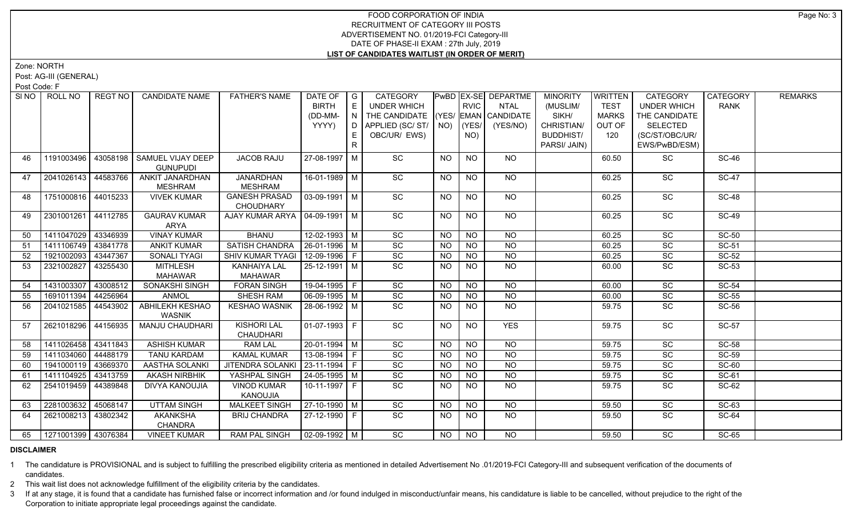Zone: NORTH

Post: AG-III (GENERAL)

Post Code: F

| SI <sub>NO</sub> | ROLL NO             | REGT NO  | <b>CANDIDATE NAME</b>       | <b>FATHER'S NAME</b>                   | DATE OF $ G $          |                                    | CATEGORY                           |                |             | PwBD EX-SE DEPARTME | <b>MINORITY</b>  | <b>WRITTEN</b> | CATEGORY           | CATEGORY     | <b>REMARKS</b> |
|------------------|---------------------|----------|-----------------------------|----------------------------------------|------------------------|------------------------------------|------------------------------------|----------------|-------------|---------------------|------------------|----------------|--------------------|--------------|----------------|
|                  |                     |          |                             |                                        | <b>BIRTH</b>           | E.                                 | UNDER WHICH                        |                | <b>RVIC</b> | NTAL                | (MUSLIM/         | <b>TEST</b>    | <b>UNDER WHICH</b> | <b>RANK</b>  |                |
|                  |                     |          |                             |                                        | (DD-MM-                | $\mathsf{F} \mathsf{N} \mathsf{F}$ | THE CANDIDATE (YES/ EMAN CANDIDATE |                |             |                     | SIKH/            | <b>MARKS</b>   | THE CANDIDATE      |              |                |
|                  |                     |          |                             |                                        | YYYY)                  |                                    | D   APPLIED (SC/ ST/   NO)         |                | (YES/       | (YES/NO)            | CHRISTIAN/       | OUT OF         | <b>SELECTED</b>    |              |                |
|                  |                     |          |                             |                                        |                        | Е.                                 | OBC/UR/ EWS)                       |                | NO)         |                     | <b>BUDDHIST/</b> | 120            | (SC/ST/OBC/UR/     |              |                |
|                  |                     |          |                             |                                        |                        | R                                  |                                    |                |             |                     | PARSI/ JAIN)     |                | EWS/PwBD/ESM)      |              |                |
| 46               | 1191003496          | 43058198 | SAMUEL VIJAY DEEP           | <b>JACOB RAJU</b>                      | 27-08-1997 M           |                                    | SC                                 | <b>NO</b>      | <b>NO</b>   | <b>NO</b>           |                  | 60.50          | SC                 | <b>SC-46</b> |                |
|                  |                     |          | <b>GUNUPUDI</b>             |                                        |                        |                                    |                                    |                |             |                     |                  |                |                    |              |                |
| 47               | 2041026143 44583766 |          | ANKIT JANARDHAN             | <b>JANARDHAN</b>                       | 16-01-1989 M           |                                    | SC                                 | NO.            | <b>NO</b>   | NO.                 |                  | 60.25          | SC                 | <b>SC-47</b> |                |
|                  |                     |          | MESHRAM                     | <b>MESHRAM</b>                         |                        |                                    |                                    |                |             |                     |                  |                |                    |              |                |
| 48               | 1751000816 44015233 |          | <b>VIVEK KUMAR</b>          | <b>GANESH PRASAD</b>                   | 03-09-1991   M         |                                    | $\overline{SC}$                    | <b>NO</b>      | <b>NO</b>   | NO                  |                  | 60.25          | SC                 | <b>SC-48</b> |                |
|                  |                     |          |                             | <b>CHOUDHARY</b>                       |                        |                                    |                                    |                |             |                     |                  |                |                    |              |                |
| 49               | 2301001261 44112785 |          | <b>GAURAV KUMAR</b><br>ARYA | AJAY KUMAR ARYA   04-09-1991   M       |                        |                                    | $\overline{SC}$                    | <b>NO</b>      | <b>NO</b>   | NO                  |                  | 60.25          | $\overline{SC}$    | <b>SC-49</b> |                |
| 50               | 1411047029 43346939 |          | <b>VINAY KUMAR</b>          | <b>BHANU</b>                           | $12-02-1993$ M         |                                    | SC                                 | N <sub>O</sub> | <b>NO</b>   | $N$ O               |                  | 60.25          | $\overline{SC}$    | $SC-50$      |                |
| 51               | 1411106749 43841778 |          | <b>ANKIT KUMAR</b>          | SATISH CHANDRA                         | $26 - 01 - 1996$ M     |                                    | $\overline{SC}$                    | <b>NO</b>      | <b>NO</b>   | <b>NO</b>           |                  | 60.25          | $\overline{SC}$    | SC-51        |                |
| 52               | 1921002093          | 43447367 | <b>SONALI TYAGI</b>         | SHIV KUMAR TYAGI                       | $12-09-1996$ F         |                                    | $\overline{SC}$                    | <b>NO</b>      | <b>NO</b>   | $N$ O               |                  | 60.25          | $\overline{SC}$    | $SC-52$      |                |
| 53               | 2321002827          | 43255430 | MITHLESH                    | <b>KANHAIYA LAL</b>                    | $25 - 12 - 1991$ M     |                                    | $\overline{SC}$                    | NO.            | <b>NO</b>   | <b>NO</b>           |                  | 60.00          | $\overline{SC}$    | SC-53        |                |
|                  |                     |          | <b>MAHAWAR</b>              | <b>MAHAWAR</b>                         |                        |                                    |                                    |                |             |                     |                  |                |                    |              |                |
| 54               | 1431003307          | 43008512 | <b>SONAKSHI SINGH</b>       | <b>FORAN SINGH</b>                     | $19-04-1995$ F         |                                    | SC                                 | <b>NO</b>      | <b>NO</b>   | <b>NO</b>           |                  | 60.00          | SC                 | <b>SC-54</b> |                |
| 55               | 1691011394 44256964 |          | <b>ANMOL</b>                | <b>SHESH RAM</b>                       | $\boxed{06-09-1995}$ M |                                    | SC                                 | <b>NO</b>      | <b>NO</b>   | <b>NO</b>           |                  | 60.00          | SC                 | <b>SC-55</b> |                |
| 56               | 2041021585 44543902 |          | <b>ABHILEKH KESHAO</b>      | <b>KESHAO WASNIK</b>                   | 28-06-1992 M           |                                    | SC                                 | <b>NO</b>      | <b>NO</b>   | $N$ O               |                  | 59.75          | SC                 | <b>SC-56</b> |                |
|                  |                     |          | <b>WASNIK</b>               |                                        |                        |                                    |                                    |                |             |                     |                  |                |                    |              |                |
| 57               | 2621018296 44156935 |          | <b>MANJU CHAUDHARI</b>      | <b>KISHORI LAL</b><br><b>CHAUDHARI</b> | $01-07-1993$ F         |                                    | SC                                 | <b>NO</b>      | <b>NO</b>   | <b>YES</b>          |                  | 59.75          | SC                 | <b>SC-57</b> |                |
| 58               | 1411026458 43411843 |          | <b>ASHISH KUMAR</b>         | <b>RAM LAL</b>                         | 20-01-1994   M         |                                    | SC                                 | <b>NO</b>      | <b>NO</b>   | <b>NO</b>           |                  | 59.75          | SC                 | <b>SC-58</b> |                |
| 59               | 1411034060 44488179 |          | <b>TANU KARDAM</b>          | <b>KAMAL KUMAR</b>                     | 13-08-1994   F         |                                    | SC                                 | <b>NO</b>      | <b>NO</b>   | <b>NO</b>           |                  | 59.75          | $\overline{SC}$    | $SC-59$      |                |
| 60               | 1941000119 43669370 |          | AASTHA SOLANKI              | JITENDRA SOLANKI                       | $ 23 - 11 - 1994 $ F   |                                    | $\overline{SC}$                    | <b>NO</b>      | <b>NO</b>   | <b>NO</b>           |                  | 59.75          | SC                 | <b>SC-60</b> |                |
| 61               | 1411104925 43413759 |          | <b>AKASH NIRBHIK</b>        | YASHPAL SINGH                          | $24 - 05 - 1995$ M     |                                    | SC                                 | NO.            | <b>NO</b>   | $\overline{NQ}$     |                  | 59.75          | SC                 | SC-61        |                |
| 62               | 2541019459          | 44389848 | <b>DIVYA KANOUJIA</b>       | <b>VINOD KUMAR</b>                     | 10-11-1997 F           |                                    | SC                                 | <b>NO</b>      | <b>NO</b>   | <b>NO</b>           |                  | 59.75          | SC                 | SC-62        |                |
|                  |                     |          |                             | KANOUJIA                               |                        |                                    |                                    |                |             |                     |                  |                |                    |              |                |
| 63               | 2281003632 45068147 |          | <b>UTTAM SINGH</b>          | <b>MALKEET SINGH</b>                   | 27-10-1990 M           |                                    | SC                                 | <b>NO</b>      | <b>NO</b>   | <b>NO</b>           |                  | 59.50          | SC                 | SC-63        |                |
| 64               | 2621008213 43802342 |          | <b>AKANKSHA</b>             | <b>BRIJ CHANDRA</b>                    | 27-12-1990 F           |                                    | $\overline{SC}$                    | <b>NO</b>      | NO          | NO                  |                  | 59.50          | <b>SC</b>          | SC-64        |                |
|                  |                     |          | <b>CHANDRA</b>              |                                        |                        |                                    |                                    |                |             |                     |                  |                |                    |              |                |
| 65               | 1271001399 43076384 |          | <b>VINEET KUMAR</b>         | <b>RAM PAL SINGH</b>                   | $\sqrt{02-09-1992}$ M  |                                    | $\overline{SC}$                    | NO             | <b>NO</b>   | NO.                 |                  | 59.50          | $\overline{SC}$    | $SC-65$      |                |

## **DISCLAIMER**

1 The candidature is PROVISIONAL and is subject to fulfilling the prescribed eligibility criteria as mentioned in detailed Advertisement No .01/2019-FCI Category-III and subsequent verification of the documents of candidates.

2 This wait list does not acknowledge fulfillment of the eligibility criteria by the candidates.

3 If at any stage, it is found that a candidate has furnished false or incorrect information and /or found indulged in misconduct/unfair means, his candidature is liable to be cancelled, without prejudice to the right of t Corporation to initiate appropriate legal proceedings against the candidate.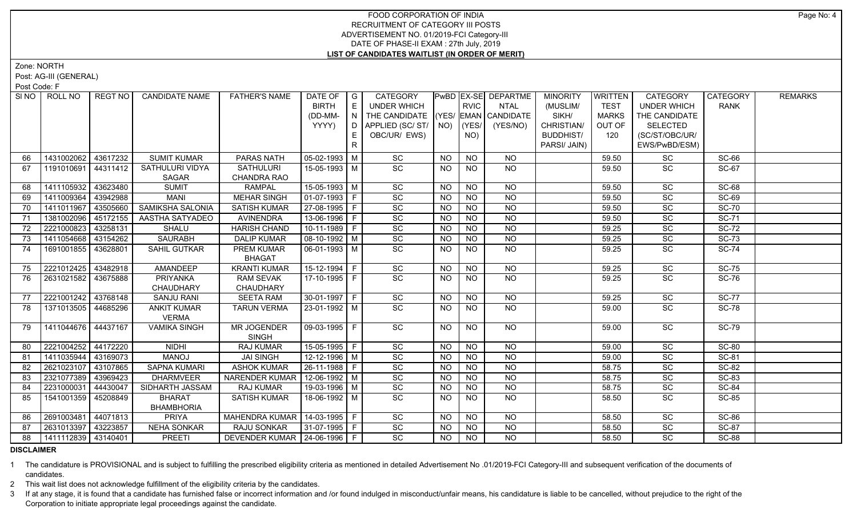Zone: NORTH

Post: AG-III (GENERAL)

Post Code: F

|          | SI NO I<br>ROLL NO  | REGT NO I | <b>CANDIDATE NAME</b>              | <b>FATHER'S NAME</b>            | DATE OF<br><b>BIRTH</b><br>(DD-MM-<br>YYYY) | $\overline{\phantom{a}}$ $\overline{\phantom{a}}$<br>E<br>$\overline{N}$<br>E.<br>$\mathsf{R}$ | CATEGORY<br><b>UNDER WHICH</b><br>THE CANDIDATE (YES/ EMAN CANDIDATE<br>OBC/UR/ EWS) |                | <b>RVIC</b><br>$ $ (YES/ $ $<br>NO) | PwBD EX-SE DEPARTME<br>NTAL<br>(YES/NO) | <b>MINORITY</b><br>(MUSLIM/<br>SIKH/<br>CHRISTIAN/<br><b>BUDDHIST/</b><br>PARSI/ JAIN) | <b>WRITTEN</b><br><b>TEST</b><br><b>MARKS</b><br>OUT OF<br>120 | <b>CATEGORY</b><br><b>UNDER WHICH</b><br>THE CANDIDATE<br><b>SELECTED</b><br>(SC/ST/OBC/UR/<br>EWS/PwBD/ESM) | CATEGORY<br><b>RANK</b> | <b>REMARKS</b> |
|----------|---------------------|-----------|------------------------------------|---------------------------------|---------------------------------------------|------------------------------------------------------------------------------------------------|--------------------------------------------------------------------------------------|----------------|-------------------------------------|-----------------------------------------|----------------------------------------------------------------------------------------|----------------------------------------------------------------|--------------------------------------------------------------------------------------------------------------|-------------------------|----------------|
|          | 1431002062 43617232 |           | <b>SUMIT KUMAR</b>                 | PARAS NATH                      | $ 05-02-1993 M$                             |                                                                                                | SC                                                                                   | <b>NO</b>      | <b>NO</b>                           |                                         |                                                                                        |                                                                |                                                                                                              | <b>SC-66</b>            |                |
| 66<br>67 | 1191010691 44311412 |           | SATHULURI VIDYA                    | <b>SATHULURI</b>                | 15-05-1993 M                                |                                                                                                | SC                                                                                   | NO.            | <b>NO</b>                           | NO.<br>NO                               |                                                                                        | 59.50<br>59.50                                                 | SC<br>SC                                                                                                     | <b>SC-67</b>            |                |
|          |                     |           | <b>SAGAR</b>                       | CHANDRA RAO                     |                                             |                                                                                                |                                                                                      |                |                                     |                                         |                                                                                        |                                                                |                                                                                                              |                         |                |
| 68       | 1411105932          | 43623480  | <b>SUMIT</b>                       | <b>RAMPAL</b>                   | 15-05-1993 M                                |                                                                                                | SC                                                                                   | <b>NO</b>      | <b>NO</b>                           | <b>NO</b>                               |                                                                                        | 59.50                                                          | SC                                                                                                           | <b>SC-68</b>            |                |
| 69       | 1411009364          | 43942988  | <b>MANI</b>                        | <b>MEHAR SINGH</b>              | 01-07-1993 F                                |                                                                                                | SC                                                                                   | <b>NO</b>      | <b>NO</b>                           | <b>NO</b>                               |                                                                                        | 59.50                                                          | SC                                                                                                           | <b>SC-69</b>            |                |
| 70       | 1411011967          | 43505660  | SAMIKSHA SALONIA                   | <b>SATISH KUMAR</b>             | 27-08-1995 F                                |                                                                                                | SC                                                                                   | <b>NO</b>      | <b>NO</b>                           | <b>NO</b>                               |                                                                                        | 59.50                                                          | SC                                                                                                           | <b>SC-70</b>            |                |
| 71       | 1381002096          | 45172155  | AASTHA SATYADEO                    | <b>AVINENDRA</b>                | 13-06-1996 F                                |                                                                                                | SC                                                                                   | <b>NO</b>      | <b>NO</b>                           | <b>NO</b>                               |                                                                                        | 59.50                                                          | SC                                                                                                           | <b>SC-71</b>            |                |
| 72       | 2221000823          | 43258131  | SHALU                              | <b>HARISH CHAND</b>             | 10-11-1989 F                                |                                                                                                | SC                                                                                   | <b>NO</b>      | <b>NO</b>                           | <b>NO</b>                               |                                                                                        | 59.25                                                          | $\overline{SC}$                                                                                              | <b>SC-72</b>            |                |
| 73       | 1411054668          | 43154262  | <b>SAURABH</b>                     | <b>DALIP KUMAR</b>              | 08-10-1992 M                                |                                                                                                | $\operatorname{\textsf{SC}}$                                                         | <b>NO</b>      | <b>NO</b>                           | <b>NO</b>                               |                                                                                        | 59.25                                                          | SC                                                                                                           | <b>SC-73</b>            |                |
| 74       | 1691001855          | 43628801  | SAHIL GUTKAR                       | PREM KUMAR<br><b>BHAGAT</b>     | 06-01-1993   M                              |                                                                                                | SC                                                                                   | <b>NO</b>      | <b>NO</b>                           | NO                                      |                                                                                        | 59.25                                                          | SC                                                                                                           | <b>SC-74</b>            |                |
| 75       | 2221012425          | 43482918  | AMANDEEP                           | <b>KRANTI KUMAR</b>             | 15-12-1994 F                                |                                                                                                | SC                                                                                   | <b>NO</b>      | <b>NO</b>                           | <b>NO</b>                               |                                                                                        | 59.25                                                          | SC                                                                                                           | <b>SC-75</b>            |                |
| 76       | 2631021582          | 43675888  | PRIYANKA                           | <b>RAM SEVAK</b>                | 17-10-1995 F                                |                                                                                                | <b>SC</b>                                                                            | <b>NO</b>      | NO.                                 | NO.                                     |                                                                                        | 59.25                                                          | <b>SC</b>                                                                                                    | <b>SC-76</b>            |                |
|          |                     |           | CHAUDHARY                          | CHAUDHARY                       |                                             |                                                                                                |                                                                                      |                |                                     |                                         |                                                                                        |                                                                |                                                                                                              |                         |                |
| 77       | 2221001242 43768148 |           | <b>SANJU RANI</b>                  | <b>SEETA RAM</b>                | $30-01-1997$ F                              |                                                                                                | $\overline{SC}$                                                                      | N <sub>O</sub> | N <sub>O</sub>                      | $\overline{NO}$                         |                                                                                        | 59.25                                                          | $\overline{SC}$                                                                                              | <b>SC-77</b>            |                |
| 78       | 1371013505 44685296 |           | <b>ANKIT KUMAR</b><br><b>VERMA</b> | <b>TARUN VERMA</b>              | 23-01-1992 M                                |                                                                                                | SC                                                                                   | NO.            | NO.                                 | NO                                      |                                                                                        | 59.00                                                          | SC                                                                                                           | <b>SC-78</b>            |                |
| 79       | 1411044676 44437167 |           | <b>VAMIKA SINGH</b>                | MR JOGENDER<br><b>SINGH</b>     | 09-03-1995 F                                |                                                                                                | SC                                                                                   | <b>NO</b>      | <b>NO</b>                           | NO.                                     |                                                                                        | 59.00                                                          | SC                                                                                                           | <b>SC-79</b>            |                |
| 80       | 2221004252          | 44172220  | <b>NIDHI</b>                       | RAJ KUMAR                       | 15-05-1995 F                                |                                                                                                | SC                                                                                   | <b>NO</b>      | <b>NO</b>                           | <b>NO</b>                               |                                                                                        | 59.00                                                          | SC                                                                                                           | <b>SC-80</b>            |                |
| 81       | 1411035944          | 43169073  | <b>MANOJ</b>                       | <b>JAI SINGH</b>                | $12 - 12 - 1996$ M                          |                                                                                                | SC                                                                                   | NO.            | <b>NO</b>                           | <b>NO</b>                               |                                                                                        | 59.00                                                          | SC                                                                                                           | SC-81                   |                |
| 82       | 2621023107          | 43107865  | <b>SAPNA KUMARI</b>                | <b>ASHOK KUMAR</b>              | 26-11-1988 F                                |                                                                                                | SC                                                                                   | <b>NO</b>      | <b>NO</b>                           | $N$ O                                   |                                                                                        | 58.75                                                          | SC                                                                                                           | <b>SC-82</b>            |                |
| 83       | 2321077389          | 43969423  | <b>DHARMVEER</b>                   | NARENDER KUMAR   12-06-1992   M |                                             |                                                                                                | SC                                                                                   | <b>NO</b>      | <b>NO</b>                           | $N$ O                                   |                                                                                        | 58.75                                                          | SC                                                                                                           | <b>SC-83</b>            |                |
| 84       | 2231000031          | 44430047  | SIDHARTH JASSAM                    | <b>RAJ KUMAR</b>                | 19-03-1996 M                                |                                                                                                | SC                                                                                   | <b>NO</b>      | N <sub>O</sub>                      | $N$ O                                   |                                                                                        | 58.75                                                          | SC                                                                                                           | <b>SC-84</b>            |                |
| 85       | 1541001359          | 45208849  | <b>BHARAT</b><br><b>BHAMBHORIA</b> | <b>SATISH KUMAR</b>             | 18-06-1992 M                                |                                                                                                | SC                                                                                   | <b>NO</b>      | <b>NO</b>                           | <b>NO</b>                               |                                                                                        | 58.50                                                          | SC                                                                                                           | <b>SC-85</b>            |                |
| 86       | 2691003481          | 44071813  | <b>PRIYA</b>                       | MAHENDRA KUMAR   14-03-1995   F |                                             |                                                                                                | SC                                                                                   | <b>NO</b>      | <b>NO</b>                           | NO.                                     |                                                                                        | 58.50                                                          | SC                                                                                                           | <b>SC-86</b>            |                |
| 87       | 2631013397          | 43223857  | <b>NEHA SONKAR</b>                 | RAJU SONKAR                     | 31-07-1995 F                                |                                                                                                | SC                                                                                   | <b>NO</b>      | <b>NO</b>                           | <b>NO</b>                               |                                                                                        | 58.50                                                          | SC                                                                                                           | <b>SC-87</b>            |                |
| 88       | 1411112839 43140401 |           | <b>PREETI</b>                      | DEVENDER KUMAR   24-06-1996   F |                                             |                                                                                                | SC                                                                                   | NO.            | <b>NO</b>                           | <b>NO</b>                               |                                                                                        | 58.50                                                          | <b>SC</b>                                                                                                    | <b>SC-88</b>            |                |

### **DISCLAIMER**

1 The candidature is PROVISIONAL and is subject to fulfilling the prescribed eligibility criteria as mentioned in detailed Advertisement No .01/2019-FCI Category-III and subsequent verification of the documents of candidates.

2 This wait list does not acknowledge fulfillment of the eligibility criteria by the candidates.

3 If at any stage, it is found that a candidate has furnished false or incorrect information and /or found indulged in misconduct/unfair means, his candidature is liable to be cancelled, without prejudice to the right of t Corporation to initiate appropriate legal proceedings against the candidate.